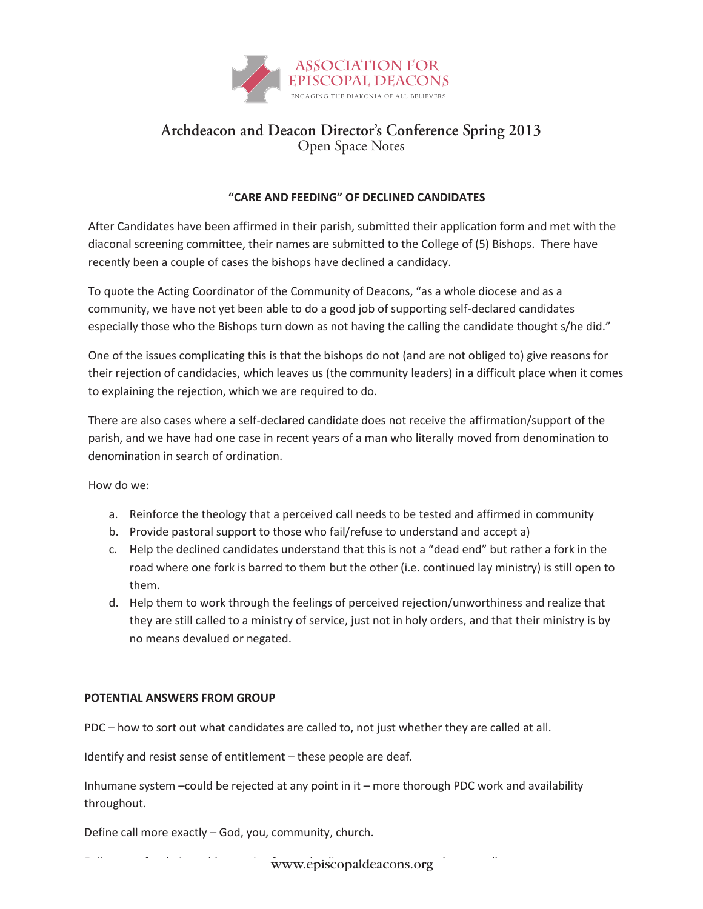

## **Archdeacon and Deacon Director's Conference Spring 2013** Open Space Notes

## **"CARE AND FEEDING" OF DECLINED CANDIDATES**

After Candidates have been affirmed in their parish, submitted their application form and met with the diaconal screening committee, their names are submitted to the College of (5) Bishops. There have recently been a couple of cases the bishops have declined a candidacy.

To quote the Acting Coordinator of the Community of Deacons, "as a whole diocese and as a community, we have not yet been able to do a good job of supporting self-declared candidates especially those who the Bishops turn down as not having the calling the candidate thought s/he did."

One of the issues complicating this is that the bishops do not (and are not obliged to) give reasons for their rejection of candidacies, which leaves us (the community leaders) in a difficult place when it comes to explaining the rejection, which we are required to do.

There are also cases where a self-declared candidate does not receive the affirmation/support of the parish, and we have had one case in recent years of a man who literally moved from denomination to denomination in search of ordination.

How do we:

- a. Reinforce the theology that a perceived call needs to be tested and affirmed in community
- b. Provide pastoral support to those who fail/refuse to understand and accept a)
- c. Help the declined candidates understand that this is not a "dead end" but rather a fork in the road where one fork is barred to them but the other (i.e. continued lay ministry) is still open to them.
- d. Help them to work through the feelings of perceived rejection/unworthiness and realize that they are still called to a ministry of service, just not in holy orders, and that their ministry is by no means devalued or negated.

## **POTENTIAL ANSWERS FROM GROUP**

PDC – how to sort out what candidates are called to, not just whether they are called at all.

Identify and resist sense of entitlement – these people are deaf.

Inhumane system –could be rejected at any point in it – more thorough PDC work and availability throughout.

Define call more exactly – God, you, community, church.

www.episcopaldeacons.org